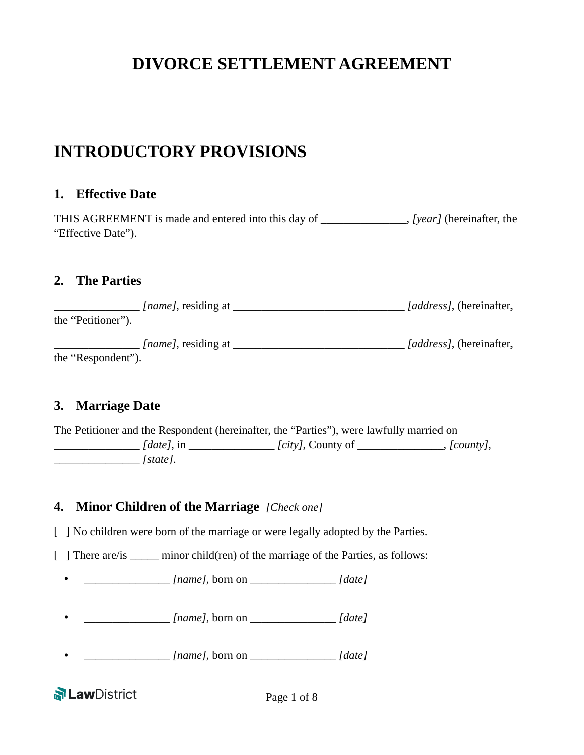# **DIVORCE SETTLEMENT AGREEMENT**

## **INTRODUCTORY PROVISIONS**

#### **1. Effective Date**

THIS AGREEMENT is made and entered into this day of \_\_\_\_\_\_\_\_\_\_\_\_\_\_\_, *[year]* (hereinafter, the "Effective Date").

#### **2. The Parties**

| <i>[name]</i> , residing at | <i>[address]</i> , (hereinafter, |
|-----------------------------|----------------------------------|
| the "Petitioner").          |                                  |
| <i>[name]</i> , residing at | <i>[address]</i> , (hereinafter, |
| the "Respondent").          |                                  |

## **3. Marriage Date**

The Petitioner and the Respondent (hereinafter, the "Parties"), were lawfully married on \_\_\_\_\_\_\_\_\_\_\_\_\_\_\_ *[date]*, in \_\_\_\_\_\_\_\_\_\_\_\_\_\_\_ *[city]*, County of \_\_\_\_\_\_\_\_\_\_\_\_\_\_\_, *[county]*, \_\_\_\_\_\_\_\_\_\_\_\_\_\_\_ *[state]*.

## **4. Minor Children of the Marriage** *[Check one]*

[ ] No children were born of the marriage or were legally adopted by the Parties.

[ ] There are/is \_\_\_\_\_ minor child(ren) of the marriage of the Parties, as follows:

• \_\_\_\_\_\_\_\_\_\_\_\_\_\_\_ *[name]*, born on \_\_\_\_\_\_\_\_\_\_\_\_\_\_\_ *[date]*

- \_\_\_\_\_\_\_\_\_\_\_\_\_\_\_ *[name]*, born on \_\_\_\_\_\_\_\_\_\_\_\_\_\_\_ *[date]*
- \_\_\_\_\_\_\_\_\_\_\_\_\_\_\_ *[name]*, born on \_\_\_\_\_\_\_\_\_\_\_\_\_\_\_ *[date]*

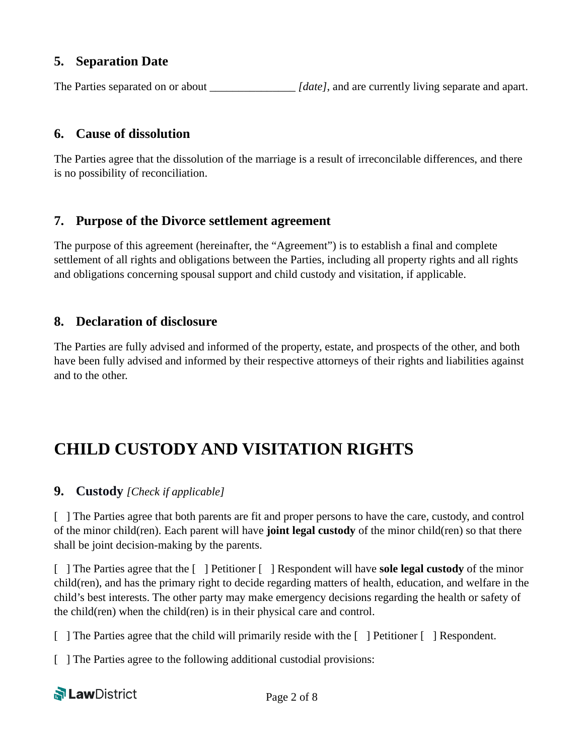## **5. Separation Date**

The Parties separated on or about \_\_\_\_\_\_\_\_\_\_\_\_\_\_\_\_*[date]*, and are currently living separate and apart.

## **6. Cause of dissolution**

The Parties agree that the dissolution of the marriage is a result of irreconcilable differences, and there is no possibility of reconciliation.

## **7. Purpose of the Divorce settlement agreement**

The purpose of this agreement (hereinafter, the "Agreement") is to establish a final and complete settlement of all rights and obligations between the Parties, including all property rights and all rights and obligations concerning spousal support and child custody and visitation, if applicable.

## **8. Declaration of disclosure**

The Parties are fully advised and informed of the property, estate, and prospects of the other, and both have been fully advised and informed by their respective attorneys of their rights and liabilities against and to the other.

# **CHILD CUSTODY AND VISITATION RIGHTS**

## **9. Custody** *[Check if applicable]*

[ ] The Parties agree that both parents are fit and proper persons to have the care, custody, and control of the minor child(ren). Each parent will have **joint legal custody** of the minor child(ren) so that there shall be joint decision-making by the parents.

[ ] The Parties agree that the [ ] Petitioner [ ] Respondent will have **sole legal custody** of the minor child(ren), and has the primary right to decide regarding matters of health, education, and welfare in the child's best interests. The other party may make emergency decisions regarding the health or safety of the child(ren) when the child(ren) is in their physical care and control.

[ ] The Parties agree that the child will primarily reside with the [ ] Petitioner [ ] Respondent.

[ ] The Parties agree to the following additional custodial provisions: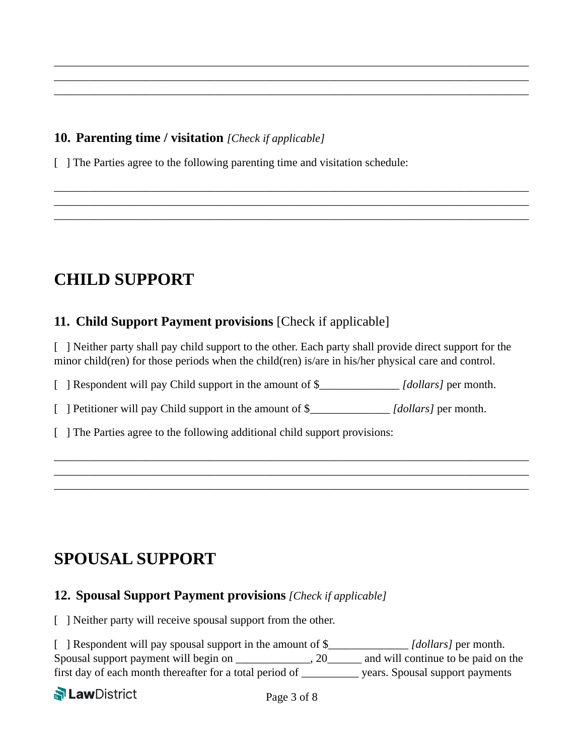## **10. Parenting time / visitation** *[Check if applicable]*

[ ] The Parties agree to the following parenting time and visitation schedule:

# **CHILD SUPPORT**

## **11. Child Support Payment provisions** [Check if applicable]

[ ] Neither party shall pay child support to the other. Each party shall provide direct support for the minor child(ren) for those periods when the child(ren) is/are in his/her physical care and control.

\_\_\_\_\_\_\_\_\_\_\_\_\_\_\_\_\_\_\_\_\_\_\_\_\_\_\_\_\_\_\_\_\_\_\_\_\_\_\_\_\_\_\_\_\_\_\_\_\_\_\_\_\_\_\_\_\_\_\_\_\_\_\_\_\_\_\_\_\_\_\_\_\_\_\_\_\_\_\_\_\_\_\_ \_\_\_\_\_\_\_\_\_\_\_\_\_\_\_\_\_\_\_\_\_\_\_\_\_\_\_\_\_\_\_\_\_\_\_\_\_\_\_\_\_\_\_\_\_\_\_\_\_\_\_\_\_\_\_\_\_\_\_\_\_\_\_\_\_\_\_\_\_\_\_\_\_\_\_\_\_\_\_\_\_\_\_ \_\_\_\_\_\_\_\_\_\_\_\_\_\_\_\_\_\_\_\_\_\_\_\_\_\_\_\_\_\_\_\_\_\_\_\_\_\_\_\_\_\_\_\_\_\_\_\_\_\_\_\_\_\_\_\_\_\_\_\_\_\_\_\_\_\_\_\_\_\_\_\_\_\_\_\_\_\_\_\_\_\_\_

\_\_\_\_\_\_\_\_\_\_\_\_\_\_\_\_\_\_\_\_\_\_\_\_\_\_\_\_\_\_\_\_\_\_\_\_\_\_\_\_\_\_\_\_\_\_\_\_\_\_\_\_\_\_\_\_\_\_\_\_\_\_\_\_\_\_\_\_\_\_\_\_\_\_\_\_\_\_\_\_\_\_\_ \_\_\_\_\_\_\_\_\_\_\_\_\_\_\_\_\_\_\_\_\_\_\_\_\_\_\_\_\_\_\_\_\_\_\_\_\_\_\_\_\_\_\_\_\_\_\_\_\_\_\_\_\_\_\_\_\_\_\_\_\_\_\_\_\_\_\_\_\_\_\_\_\_\_\_\_\_\_\_\_\_\_\_ \_\_\_\_\_\_\_\_\_\_\_\_\_\_\_\_\_\_\_\_\_\_\_\_\_\_\_\_\_\_\_\_\_\_\_\_\_\_\_\_\_\_\_\_\_\_\_\_\_\_\_\_\_\_\_\_\_\_\_\_\_\_\_\_\_\_\_\_\_\_\_\_\_\_\_\_\_\_\_\_\_\_\_

\_\_\_\_\_\_\_\_\_\_\_\_\_\_\_\_\_\_\_\_\_\_\_\_\_\_\_\_\_\_\_\_\_\_\_\_\_\_\_\_\_\_\_\_\_\_\_\_\_\_\_\_\_\_\_\_\_\_\_\_\_\_\_\_\_\_\_\_\_\_\_\_\_\_\_\_\_\_\_\_\_\_\_ \_\_\_\_\_\_\_\_\_\_\_\_\_\_\_\_\_\_\_\_\_\_\_\_\_\_\_\_\_\_\_\_\_\_\_\_\_\_\_\_\_\_\_\_\_\_\_\_\_\_\_\_\_\_\_\_\_\_\_\_\_\_\_\_\_\_\_\_\_\_\_\_\_\_\_\_\_\_\_\_\_\_\_ \_\_\_\_\_\_\_\_\_\_\_\_\_\_\_\_\_\_\_\_\_\_\_\_\_\_\_\_\_\_\_\_\_\_\_\_\_\_\_\_\_\_\_\_\_\_\_\_\_\_\_\_\_\_\_\_\_\_\_\_\_\_\_\_\_\_\_\_\_\_\_\_\_\_\_\_\_\_\_\_\_\_\_

[ ] Respondent will pay Child support in the amount of \$\_\_\_\_\_\_\_\_\_\_\_\_\_\_ *[dollars]* per month.

[ ] Petitioner will pay Child support in the amount of \$\_\_\_\_\_\_\_\_\_\_\_\_\_\_ *[dollars]* per month.

[ ] The Parties agree to the following additional child support provisions:

# **SPOUSAL SUPPORT**

## **12. Spousal Support Payment provisions** *[Check if applicable]*

[ ] Neither party will receive spousal support from the other.

| ] Respondent will pay spousal support in the amount of \$_ |    | <i>[dollars]</i> per month.         |
|------------------------------------------------------------|----|-------------------------------------|
| Spousal support payment will begin on                      | 20 | and will continue to be paid on the |
| first day of each month thereafter for a total period of   |    | years. Spousal support payments     |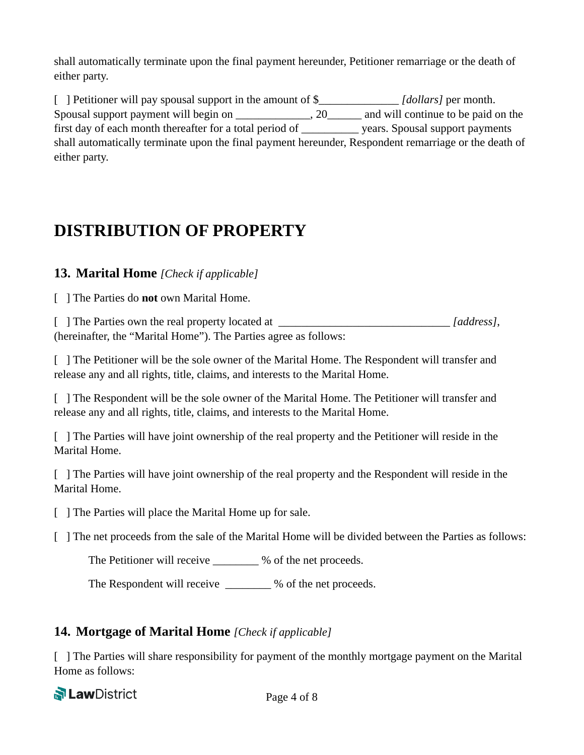shall automatically terminate upon the final payment hereunder, Petitioner remarriage or the death of either party.

[ ] Petitioner will pay spousal support in the amount of \$\_\_\_\_\_\_\_\_\_\_\_\_\_\_ *[dollars]* per month. Spousal support payment will begin on \_\_\_\_\_\_\_\_\_\_\_, 20\_\_\_\_\_\_ and will continue to be paid on the first day of each month thereafter for a total period of \_\_\_\_\_\_\_\_\_\_ years. Spousal support payments shall automatically terminate upon the final payment hereunder, Respondent remarriage or the death of either party.

# **DISTRIBUTION OF PROPERTY**

**13. Marital Home** *[Check if applicable]*

[ ] The Parties do **not** own Marital Home.

[ ] The Parties own the real property located at [address], (hereinafter, the "Marital Home"). The Parties agree as follows:

[ ] The Petitioner will be the sole owner of the Marital Home. The Respondent will transfer and release any and all rights, title, claims, and interests to the Marital Home.

[ ] The Respondent will be the sole owner of the Marital Home. The Petitioner will transfer and release any and all rights, title, claims, and interests to the Marital Home.

[ ] The Parties will have joint ownership of the real property and the Petitioner will reside in the Marital Home.

[ ] The Parties will have joint ownership of the real property and the Respondent will reside in the Marital Home.

[ ] The Parties will place the Marital Home up for sale.

[ ] The net proceeds from the sale of the Marital Home will be divided between the Parties as follows:

The Petitioner will receive  $\%$  of the net proceeds.

The Respondent will receive \_\_\_\_\_\_\_ % of the net proceeds.

## **14. Mortgage of Marital Home** *[Check if applicable]*

[ ] The Parties will share responsibility for payment of the monthly mortgage payment on the Marital Home as follows: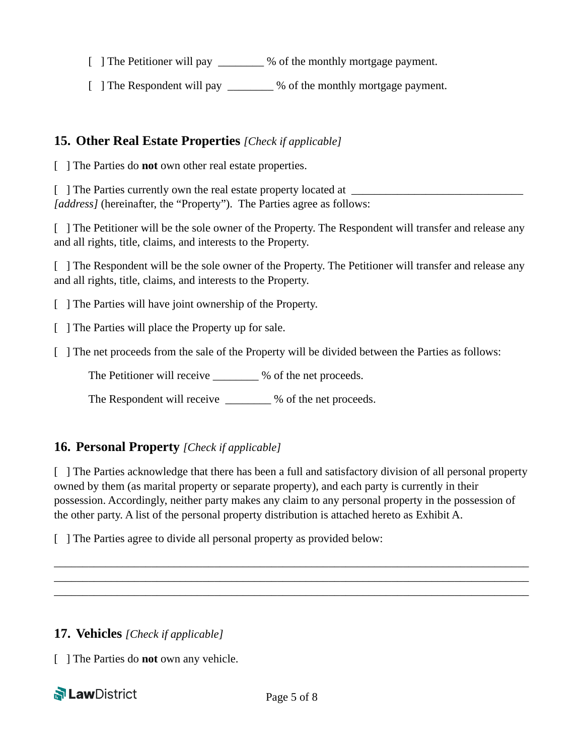[ ] The Petitioner will pay \_\_\_\_\_\_\_\_ % of the monthly mortgage payment.

[ ] The Respondent will pay \_\_\_\_\_\_\_\_ % of the monthly mortgage payment.

## **15. Other Real Estate Properties** *[Check if applicable]*

[ ] The Parties do **not** own other real estate properties.

 $\lceil \quad \rceil$  The Parties currently own the real estate property located at  $\lceil \quad \rceil$ *[address]* (hereinafter, the "Property"). The Parties agree as follows:

[ ] The Petitioner will be the sole owner of the Property. The Respondent will transfer and release any and all rights, title, claims, and interests to the Property.

[ ] The Respondent will be the sole owner of the Property. The Petitioner will transfer and release any and all rights, title, claims, and interests to the Property.

[ ] The Parties will have joint ownership of the Property.

[ ] The Parties will place the Property up for sale.

[ ] The net proceeds from the sale of the Property will be divided between the Parties as follows:

The Petitioner will receive \_\_\_\_\_\_\_\_ % of the net proceeds.

The Respondent will receive  $\%$  of the net proceeds.

## **16. Personal Property** *[Check if applicable]*

[ ] The Parties acknowledge that there has been a full and satisfactory division of all personal property owned by them (as marital property or separate property), and each party is currently in their possession. Accordingly, neither party makes any claim to any personal property in the possession of the other party. A list of the personal property distribution is attached hereto as Exhibit A.

\_\_\_\_\_\_\_\_\_\_\_\_\_\_\_\_\_\_\_\_\_\_\_\_\_\_\_\_\_\_\_\_\_\_\_\_\_\_\_\_\_\_\_\_\_\_\_\_\_\_\_\_\_\_\_\_\_\_\_\_\_\_\_\_\_\_\_\_\_\_\_\_\_\_\_\_\_\_\_\_\_\_\_ \_\_\_\_\_\_\_\_\_\_\_\_\_\_\_\_\_\_\_\_\_\_\_\_\_\_\_\_\_\_\_\_\_\_\_\_\_\_\_\_\_\_\_\_\_\_\_\_\_\_\_\_\_\_\_\_\_\_\_\_\_\_\_\_\_\_\_\_\_\_\_\_\_\_\_\_\_\_\_\_\_\_\_ \_\_\_\_\_\_\_\_\_\_\_\_\_\_\_\_\_\_\_\_\_\_\_\_\_\_\_\_\_\_\_\_\_\_\_\_\_\_\_\_\_\_\_\_\_\_\_\_\_\_\_\_\_\_\_\_\_\_\_\_\_\_\_\_\_\_\_\_\_\_\_\_\_\_\_\_\_\_\_\_\_\_\_

[ ] The Parties agree to divide all personal property as provided below:

## **17. Vehicles** *[Check if applicable]*

[ ] The Parties do **not** own any vehicle.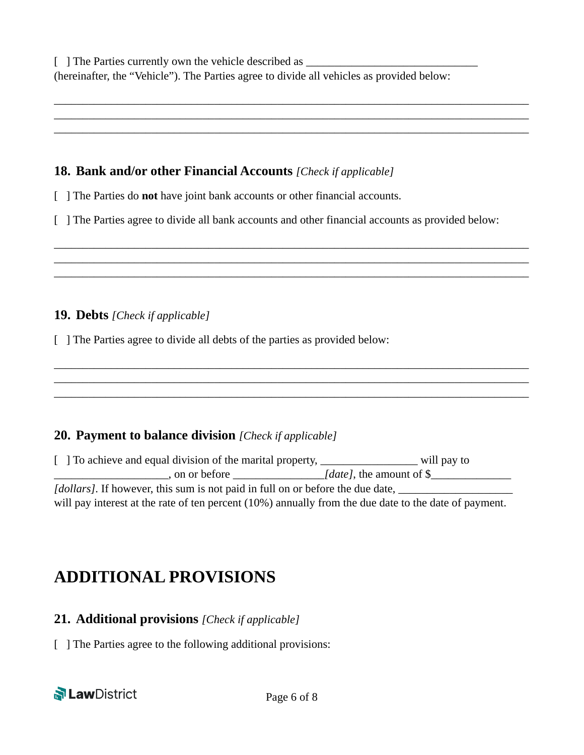#### **18. Bank and/or other Financial Accounts** *[Check if applicable]*

- [ ] The Parties do **not** have joint bank accounts or other financial accounts.
- [ ] The Parties agree to divide all bank accounts and other financial accounts as provided below:

\_\_\_\_\_\_\_\_\_\_\_\_\_\_\_\_\_\_\_\_\_\_\_\_\_\_\_\_\_\_\_\_\_\_\_\_\_\_\_\_\_\_\_\_\_\_\_\_\_\_\_\_\_\_\_\_\_\_\_\_\_\_\_\_\_\_\_\_\_\_\_\_\_\_\_\_\_\_\_\_\_\_\_ \_\_\_\_\_\_\_\_\_\_\_\_\_\_\_\_\_\_\_\_\_\_\_\_\_\_\_\_\_\_\_\_\_\_\_\_\_\_\_\_\_\_\_\_\_\_\_\_\_\_\_\_\_\_\_\_\_\_\_\_\_\_\_\_\_\_\_\_\_\_\_\_\_\_\_\_\_\_\_\_\_\_\_ \_\_\_\_\_\_\_\_\_\_\_\_\_\_\_\_\_\_\_\_\_\_\_\_\_\_\_\_\_\_\_\_\_\_\_\_\_\_\_\_\_\_\_\_\_\_\_\_\_\_\_\_\_\_\_\_\_\_\_\_\_\_\_\_\_\_\_\_\_\_\_\_\_\_\_\_\_\_\_\_\_\_\_

\_\_\_\_\_\_\_\_\_\_\_\_\_\_\_\_\_\_\_\_\_\_\_\_\_\_\_\_\_\_\_\_\_\_\_\_\_\_\_\_\_\_\_\_\_\_\_\_\_\_\_\_\_\_\_\_\_\_\_\_\_\_\_\_\_\_\_\_\_\_\_\_\_\_\_\_\_\_\_\_\_\_\_ \_\_\_\_\_\_\_\_\_\_\_\_\_\_\_\_\_\_\_\_\_\_\_\_\_\_\_\_\_\_\_\_\_\_\_\_\_\_\_\_\_\_\_\_\_\_\_\_\_\_\_\_\_\_\_\_\_\_\_\_\_\_\_\_\_\_\_\_\_\_\_\_\_\_\_\_\_\_\_\_\_\_\_ \_\_\_\_\_\_\_\_\_\_\_\_\_\_\_\_\_\_\_\_\_\_\_\_\_\_\_\_\_\_\_\_\_\_\_\_\_\_\_\_\_\_\_\_\_\_\_\_\_\_\_\_\_\_\_\_\_\_\_\_\_\_\_\_\_\_\_\_\_\_\_\_\_\_\_\_\_\_\_\_\_\_\_

\_\_\_\_\_\_\_\_\_\_\_\_\_\_\_\_\_\_\_\_\_\_\_\_\_\_\_\_\_\_\_\_\_\_\_\_\_\_\_\_\_\_\_\_\_\_\_\_\_\_\_\_\_\_\_\_\_\_\_\_\_\_\_\_\_\_\_\_\_\_\_\_\_\_\_\_\_\_\_\_\_\_\_ \_\_\_\_\_\_\_\_\_\_\_\_\_\_\_\_\_\_\_\_\_\_\_\_\_\_\_\_\_\_\_\_\_\_\_\_\_\_\_\_\_\_\_\_\_\_\_\_\_\_\_\_\_\_\_\_\_\_\_\_\_\_\_\_\_\_\_\_\_\_\_\_\_\_\_\_\_\_\_\_\_\_\_ \_\_\_\_\_\_\_\_\_\_\_\_\_\_\_\_\_\_\_\_\_\_\_\_\_\_\_\_\_\_\_\_\_\_\_\_\_\_\_\_\_\_\_\_\_\_\_\_\_\_\_\_\_\_\_\_\_\_\_\_\_\_\_\_\_\_\_\_\_\_\_\_\_\_\_\_\_\_\_\_\_\_\_

#### **19. Debts** *[Check if applicable]*

[ ] The Parties agree to divide all debts of the parties as provided below:

## **20. Payment to balance division** *[Check if applicable]*

[ ] To achieve and equal division of the marital property, \_\_\_\_\_\_\_\_\_\_\_\_\_\_\_\_\_\_\_\_\_ will pay to \_\_\_\_\_\_\_\_\_\_\_\_\_\_\_\_\_\_\_\_, on or before \_\_\_\_\_\_\_\_\_\_\_\_\_\_\_\_*[date]*, the amount of \$\_\_\_\_\_\_\_\_\_\_\_\_\_\_ *[dollars]*. If however, this sum is not paid in full on or before the due date, \_\_\_\_\_\_\_\_\_\_\_\_\_\_\_\_\_\_\_\_ will pay interest at the rate of ten percent (10%) annually from the due date to the date of payment.

# **ADDITIONAL PROVISIONS**

## **21. Additional provisions** *[Check if applicable]*

[ ] The Parties agree to the following additional provisions: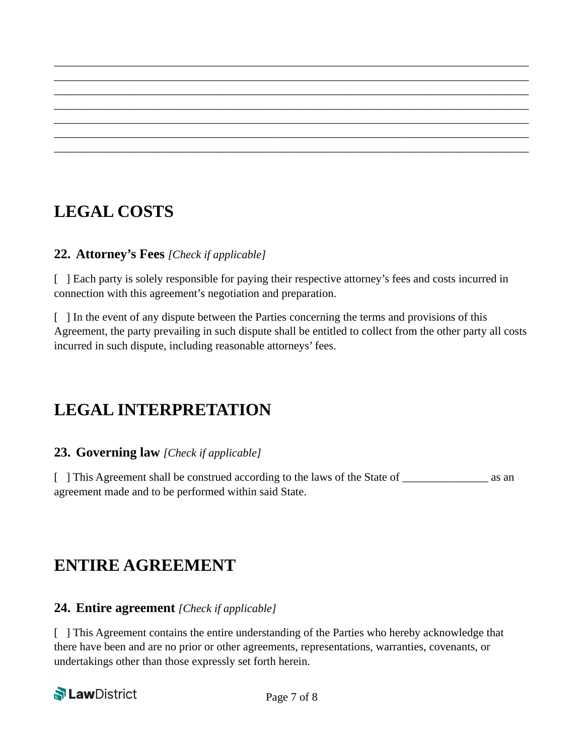# **LEGAL COSTS**

## **22. Attorney's Fees** *[Check if applicable]*

[ ] Each party is solely responsible for paying their respective attorney's fees and costs incurred in connection with this agreement's negotiation and preparation.

\_\_\_\_\_\_\_\_\_\_\_\_\_\_\_\_\_\_\_\_\_\_\_\_\_\_\_\_\_\_\_\_\_\_\_\_\_\_\_\_\_\_\_\_\_\_\_\_\_\_\_\_\_\_\_\_\_\_\_\_\_\_\_\_\_\_\_\_\_\_\_\_\_\_\_\_\_\_\_\_\_\_\_ \_\_\_\_\_\_\_\_\_\_\_\_\_\_\_\_\_\_\_\_\_\_\_\_\_\_\_\_\_\_\_\_\_\_\_\_\_\_\_\_\_\_\_\_\_\_\_\_\_\_\_\_\_\_\_\_\_\_\_\_\_\_\_\_\_\_\_\_\_\_\_\_\_\_\_\_\_\_\_\_\_\_\_ \_\_\_\_\_\_\_\_\_\_\_\_\_\_\_\_\_\_\_\_\_\_\_\_\_\_\_\_\_\_\_\_\_\_\_\_\_\_\_\_\_\_\_\_\_\_\_\_\_\_\_\_\_\_\_\_\_\_\_\_\_\_\_\_\_\_\_\_\_\_\_\_\_\_\_\_\_\_\_\_\_\_\_ \_\_\_\_\_\_\_\_\_\_\_\_\_\_\_\_\_\_\_\_\_\_\_\_\_\_\_\_\_\_\_\_\_\_\_\_\_\_\_\_\_\_\_\_\_\_\_\_\_\_\_\_\_\_\_\_\_\_\_\_\_\_\_\_\_\_\_\_\_\_\_\_\_\_\_\_\_\_\_\_\_\_\_ \_\_\_\_\_\_\_\_\_\_\_\_\_\_\_\_\_\_\_\_\_\_\_\_\_\_\_\_\_\_\_\_\_\_\_\_\_\_\_\_\_\_\_\_\_\_\_\_\_\_\_\_\_\_\_\_\_\_\_\_\_\_\_\_\_\_\_\_\_\_\_\_\_\_\_\_\_\_\_\_\_\_\_ \_\_\_\_\_\_\_\_\_\_\_\_\_\_\_\_\_\_\_\_\_\_\_\_\_\_\_\_\_\_\_\_\_\_\_\_\_\_\_\_\_\_\_\_\_\_\_\_\_\_\_\_\_\_\_\_\_\_\_\_\_\_\_\_\_\_\_\_\_\_\_\_\_\_\_\_\_\_\_\_\_\_\_ \_\_\_\_\_\_\_\_\_\_\_\_\_\_\_\_\_\_\_\_\_\_\_\_\_\_\_\_\_\_\_\_\_\_\_\_\_\_\_\_\_\_\_\_\_\_\_\_\_\_\_\_\_\_\_\_\_\_\_\_\_\_\_\_\_\_\_\_\_\_\_\_\_\_\_\_\_\_\_\_\_\_\_

[ ] In the event of any dispute between the Parties concerning the terms and provisions of this Agreement, the party prevailing in such dispute shall be entitled to collect from the other party all costs incurred in such dispute, including reasonable attorneys' fees.

# **LEGAL INTERPRETATION**

## **23. Governing law** *[Check if applicable]*

[ ] This Agreement shall be construed according to the laws of the State of as an agreement made and to be performed within said State.

## **ENTIRE AGREEMENT**

## **24. Entire agreement** *[Check if applicable]*

[ ] This Agreement contains the entire understanding of the Parties who hereby acknowledge that there have been and are no prior or other agreements, representations, warranties, covenants, or undertakings other than those expressly set forth herein.